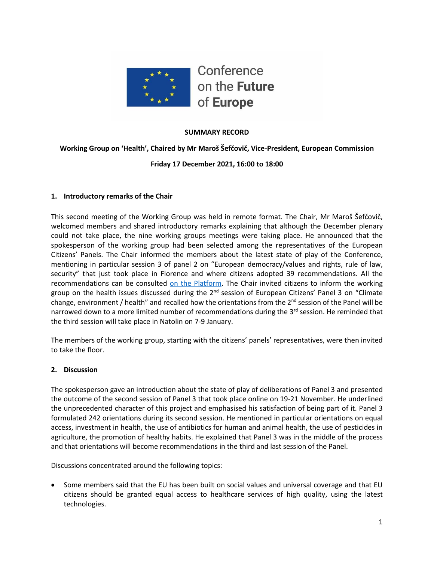

## **SUMMARY RECORD**

## **Working Group on 'Health', Chaired by Mr Maroš Šefčovič, Vice-President, European Commission**

### **Friday 17 December 2021, 16:00 to 18:00**

### **1. Introductory remarks of the Chair**

This second meeting of the Working Group was held in remote format. The Chair, Mr Maroš Šefčovič, welcomed members and shared introductory remarks explaining that although the December plenary could not take place, the nine working groups meetings were taking place. He announced that the spokesperson of the working group had been selected among the representatives of the European Citizens' Panels. The Chair informed the members about the latest state of play of the Conference, mentioning in particular session 3 of panel 2 on "European democracy/values and rights, rule of law, security" that just took place in Florence and where citizens adopted 39 recommendations. All the recommendations can be consulted [on the Platform.](https://prod-cofe-platform.s3.eu-central-1.amazonaws.com/afosqy48ot11yrvtlk7f59dyyf72?response-content-disposition=inline%3B%20filename%3D%22Panel%202%20session%203%20Report_FINAL.pdf%22%3B%20filename%2A%3DUTF-8%27%27Panel%25202%2520session%25203%2520Report_FINAL.pdf&response-content-type=application%2Fpdf&X-Amz-Algorithm=AWS4-HMAC-SHA256&X-Amz-Credential=AKIA3LJJXGZPDFYVOW5V%2F20211227%2Feu-central-1%2Fs3%2Faws4_request&X-Amz-Date=20211227T110532Z&X-Amz-Expires=300&X-Amz-SignedHeaders=host&X-Amz-Signature=f3d838878ca6e4cc5cd090b67f0edc32aa5f020b77b4be03edd7a5cfea3e4051) The Chair invited citizens to inform the working group on the health issues discussed during the 2<sup>nd</sup> session of European Citizens' Panel 3 on "Climate change, environment / health" and recalled how the orientations from the  $2^{nd}$  session of the Panel will be narrowed down to a more limited number of recommendations during the 3<sup>rd</sup> session. He reminded that the third session will take place in Natolin on 7-9 January.

The members of the working group, starting with the citizens' panels' representatives, were then invited to take the floor.

### **2. Discussion**

The spokesperson gave an introduction about the state of play of deliberations of Panel 3 and presented the outcome of the second session of Panel 3 that took place online on 19-21 November. He underlined the unprecedented character of this project and emphasised his satisfaction of being part of it. Panel 3 formulated 242 orientations during its second session. He mentioned in particular orientations on equal access, investment in health, the use of antibiotics for human and animal health, the use of pesticides in agriculture, the promotion of healthy habits. He explained that Panel 3 was in the middle of the process and that orientations will become recommendations in the third and last session of the Panel.

Discussions concentrated around the following topics:

• Some members said that the EU has been built on social values and universal coverage and that EU citizens should be granted equal access to healthcare services of high quality, using the latest technologies.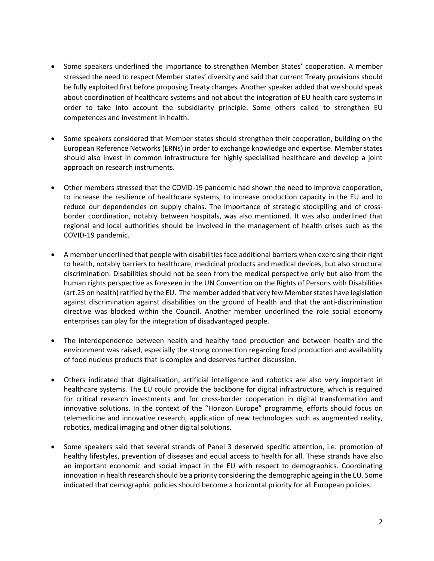- Some speakers underlined the importance to strengthen Member States' cooperation. A member stressed the need to respect Member states' diversity and said that current Treaty provisions should be fully exploited first before proposing Treaty changes. Another speaker added that we should speak about coordination of healthcare systems and not about the integration of EU health care systems in order to take into account the subsidiarity principle. Some others called to strengthen EU competences and investment in health.
- Some speakers considered that Member states should strengthen their cooperation, building on the European Reference Networks (ERNs) in order to exchange knowledge and expertise. Member states should also invest in common infrastructure for highly specialised healthcare and develop a joint approach on research instruments.
- Other members stressed that the COVID-19 pandemic had shown the need to improve cooperation, to increase the resilience of healthcare systems, to increase production capacity in the EU and to reduce our dependencies on supply chains. The importance of strategic stockpiling and of crossborder coordination, notably between hospitals, was also mentioned. It was also underlined that regional and local authorities should be involved in the management of health crises such as the COVID-19 pandemic.
- A member underlined that people with disabilities face additional barriers when exercising their right to health, notably barriers to healthcare, medicinal products and medical devices, but also structural discrimination. Disabilities should not be seen from the medical perspective only but also from the human rights perspective as foreseen in the UN Convention on the Rights of Persons with Disabilities (art.25 on health) ratified by the EU. The member added that very few Member states have legislation against discrimination against disabilities on the ground of health and that the anti-discrimination directive was blocked within the Council. Another member underlined the role social economy enterprises can play for the integration of disadvantaged people.
- The interdependence between health and healthy food production and between health and the environment was raised, especially the strong connection regarding food production and availability of food nucleus products that is complex and deserves further discussion.
- Others indicated that digitalisation, artificial intelligence and robotics are also very important in healthcare systems. The EU could provide the backbone for digital infrastructure, which is required for critical research investments and for cross-border cooperation in digital transformation and innovative solutions. In the context of the "Horizon Europe" programme, efforts should focus on telemedicine and innovative research, application of new technologies such as augmented reality, robotics, medical imaging and other digital solutions.
- Some speakers said that several strands of Panel 3 deserved specific attention, i.e. promotion of healthy lifestyles, prevention of diseases and equal access to health for all. These strands have also an important economic and social impact in the EU with respect to demographics. Coordinating innovation in health research should be a priority considering the demographic ageing in the EU. Some indicated that demographic policies should become a horizontal priority for all European policies.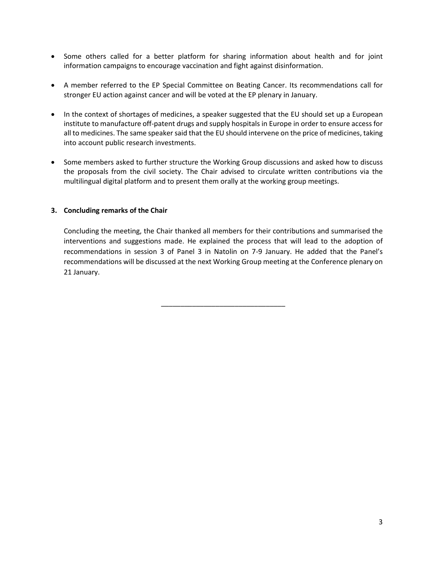- Some others called for a better platform for sharing information about health and for joint information campaigns to encourage vaccination and fight against disinformation.
- A member referred to the EP Special Committee on Beating Cancer. Its recommendations call for stronger EU action against cancer and will be voted at the EP plenary in January.
- In the context of shortages of medicines, a speaker suggested that the EU should set up a European institute to manufacture off-patent drugs and supply hospitals in Europe in order to ensure access for all to medicines. The same speaker said that the EU should intervene on the price of medicines, taking into account public research investments.
- Some members asked to further structure the Working Group discussions and asked how to discuss the proposals from the civil society. The Chair advised to circulate written contributions via the multilingual digital platform and to present them orally at the working group meetings.

## **3. Concluding remarks of the Chair**

Concluding the meeting, the Chair thanked all members for their contributions and summarised the interventions and suggestions made. He explained the process that will lead to the adoption of recommendations in session 3 of Panel 3 in Natolin on 7-9 January. He added that the Panel's recommendations will be discussed at the next Working Group meeting at the Conference plenary on 21 January.

\_\_\_\_\_\_\_\_\_\_\_\_\_\_\_\_\_\_\_\_\_\_\_\_\_\_\_\_\_\_\_\_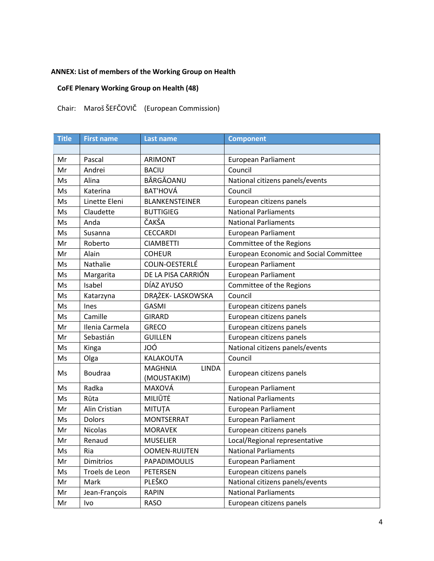# **ANNEX: List of members of the Working Group on Health**

# **CoFE Plenary Working Group on Health (48)**

# Chair: Maroš ŠEFČOVIČ (European Commission)

| <b>Title</b> | <b>First name</b> | <b>Last name</b>                              | <b>Component</b>                              |
|--------------|-------------------|-----------------------------------------------|-----------------------------------------------|
|              |                   |                                               |                                               |
| Mr           | Pascal            | ARIMONT                                       | <b>European Parliament</b>                    |
| Mr           | Andrei            | <b>BACIU</b>                                  | Council                                       |
| Ms           | Alina             | BÂRGĂOANU                                     | National citizens panels/events               |
| Ms           | Katerina          | <b>BAT'HOVÁ</b>                               | Council                                       |
| Ms           | Linette Eleni     | <b>BLANKENSTEINER</b>                         | European citizens panels                      |
| Ms           | Claudette         | <b>BUTTIGIEG</b>                              | <b>National Parliaments</b>                   |
| Ms           | Anda              | ČAKŠA                                         | <b>National Parliaments</b>                   |
| Ms           | Susanna           | <b>CECCARDI</b>                               | <b>European Parliament</b>                    |
| Mr           | Roberto           | <b>CIAMBETTI</b>                              | Committee of the Regions                      |
| Mr           | Alain             | <b>COHEUR</b>                                 | <b>European Economic and Social Committee</b> |
| Ms           | Nathalie          | COLIN-OESTERLÉ                                | <b>European Parliament</b>                    |
| Ms           | Margarita         | DE LA PISA CARRIÓN                            | European Parliament                           |
| Ms           | Isabel            | DÍAZ AYUSO                                    | Committee of the Regions                      |
| Ms           | Katarzyna         | DRĄŻEK- LASKOWSKA                             | Council                                       |
| Ms           | Ines              | <b>GASMI</b>                                  | European citizens panels                      |
| Ms           | Camille           | <b>GIRARD</b>                                 | European citizens panels                      |
| Mr           | Ilenia Carmela    | <b>GRECO</b>                                  | European citizens panels                      |
| Mr           | Sebastián         | <b>GUILLEN</b>                                | European citizens panels                      |
| Ms           | Kinga             | JOÓ                                           | National citizens panels/events               |
| Ms           | Olga              | KALAKOUTA                                     | Council                                       |
| Ms           | <b>Boudraa</b>    | <b>MAGHNIA</b><br><b>LINDA</b><br>(MOUSTAKIM) | European citizens panels                      |
| Ms           | Radka             | MAXOVÁ                                        | <b>European Parliament</b>                    |
| Ms           | Rūta              | MILIŪTĖ                                       | <b>National Parliaments</b>                   |
| Mr           | Alin Cristian     | MITUȚA                                        | European Parliament                           |
| Ms           | <b>Dolors</b>     | <b>MONTSERRAT</b>                             | <b>European Parliament</b>                    |
| Mr           | <b>Nicolas</b>    | <b>MORAVEK</b>                                | European citizens panels                      |
| Mr           | Renaud            | <b>MUSELIER</b>                               | Local/Regional representative                 |
| Ms           | Ria               | <b>OOMEN-RUIJTEN</b>                          | <b>National Parliaments</b>                   |
| Mr           | Dimitrios         | PAPADIMOULIS                                  | European Parliament                           |
| Ms           | Troels de Leon    | <b>PETERSEN</b>                               | European citizens panels                      |
| Mr           | Mark              | PLEŠKO                                        | National citizens panels/events               |
| Mr           | Jean-François     | <b>RAPIN</b>                                  | <b>National Parliaments</b>                   |
| Mr           | Ivo               | <b>RASO</b>                                   | European citizens panels                      |